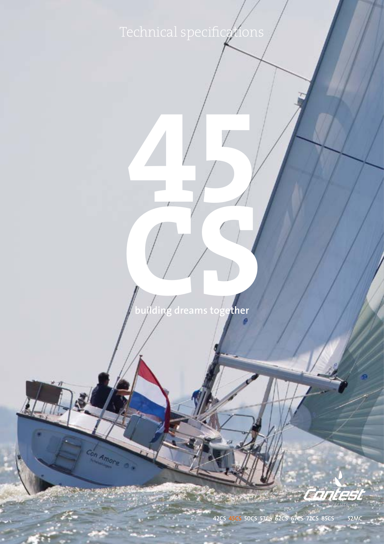Technical specifications

**CONSUMING SECTION building dreams together**

Con Amore

**45**

**Contest**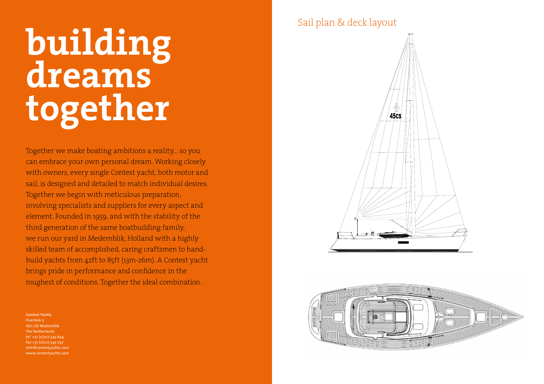Together we make boating ambitions a reality… so you can embrace your own personal dream. Working closely with owners, every single Contest yacht, both motor and sail, is designed and detailed to match individual desires. Together we begin with meticulous preparation, involving specialists and suppliers for every aspect and element. Founded in 1959, and with the stability of the third generation of the same boatbuilding family, we run our yard in Medemblik, Holland with a highly skilled team of accomplished, caring craftsmen to handbuild yachts from 42ft to 85ft (13m-26m). A Contest yacht brings pride in performance and confidence in the roughest of conditions. Together the ideal combination.

## Sail plan & deck layout





# **building dreams together**

**Contest Yachts** Overleek 5 1671 GD Medemblik The Netherlands tel +31 (0)227 543 644 fax +31 (0)227 545 037 info@contestyachts.com www.contestyachts.com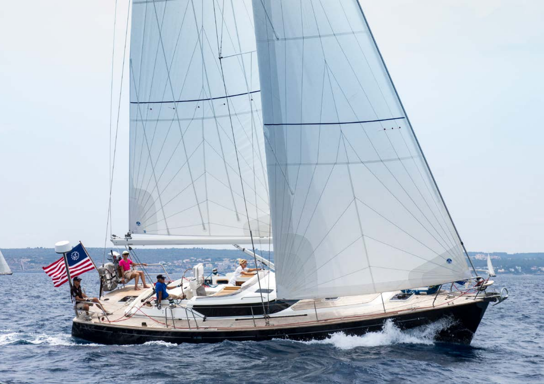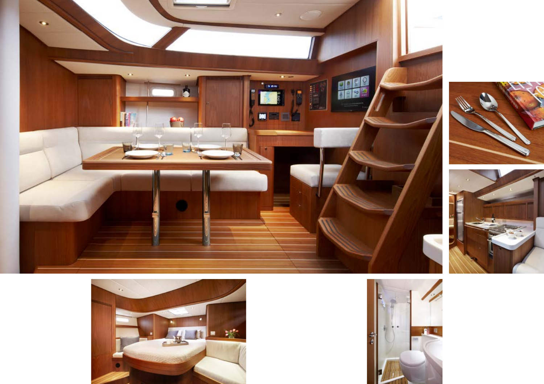









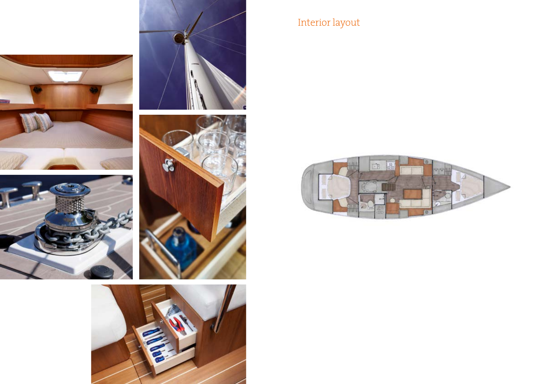





## Interior layout





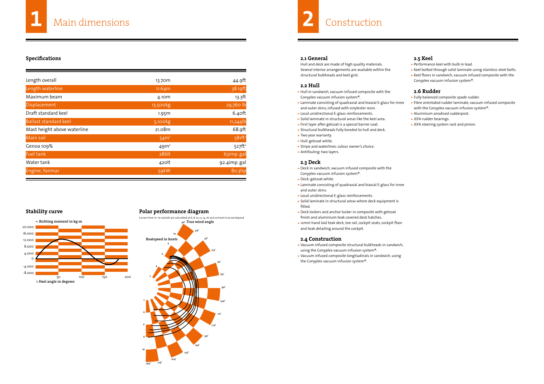

#### **Specifications**



#### **2.1 General**

 Hull and deck are made of high quality materials. Several interior arrangements are available within the structural bulkheads and keel grid.

#### **2.2 Hull**

- $\blacktriangleright$  Hull in sandwich, vacuum infused composite with the Conyplex vacuum infusion system®.
- Laminate consisting of quadraxial and biaxial E-glass for inner and outer skins, infused with vinylester resin.
- Local unidirectional E-glass reinforcements.
- Solid laminate in structural areas like the keel area.
- First layer after gelcoat is a special barrier coat.
- Structural bulkheads fully bonded to hull and deck.
- ► Two year warranty.
- Hull: gelcoat white.
- Stripe and waterlines: colour owner's choice.
- Antifouling: two layers.

#### **2.3 Deck**

- $\blacktriangleright$  Performance keel with bulb in lead.
- Keel bolted through solid laminate using stainless steel bolts.
- $\triangleright$  Keel floors in sandwich, vacuum infused composite with the Conyplex vacuum infusion system®.

- Deck in sandwich, vacuum infused composite with the Conyplex vacuum infusion system®.
- ► Deck: gelcoat white.
- Laminate consisting of quadraxial and biaxial E-glass for inner and outer skins.
- Local unidirectional E-glass reinforcements.
- Solid laminate in structural areas where deck equipment is fitted.
- Deck lockers and anchor locker in composite with gelcoat finish and aluminium teak covered deck hatches.
- 12mm hand laid teak deck, toe rail, cockpit seats, cockpit floor and teak detailing around the cockpit.



#### **2.4 Construction**

- Vacuum infused composite structural bulkheads in sandwich, using the Conyplex vacuum infusion system®.
- Vacuum infused composite longitudinals in sandwich, using the Conyplex vacuum infusion system®.

#### **2.5 Keel**

#### **2.6 Rudder**

- Fully balanced composite spade rudder.
- Fibre orientated rudder laminate, vacuum infused composite with the Conyplex vacuum infusion system®.
- Aluminium anodised rudderpost.
- JEFA rudder bearings.
- JEFA steering system rack and pinion.

| Length overall               | 13.70m           | 44.9ft             |
|------------------------------|------------------|--------------------|
| Length waterline             | 11.64m           | 38.19ft            |
| Maximum beam                 | 4.10m            | 13.3ft             |
| Displacement                 | 13,500kg         | 29,760 lb          |
| Draft standard keel          | 1.95m            | $6.4$ oft          |
| <b>Ballast standard keel</b> | 5,100kg          | 11,244lb           |
| Mast height above waterline  | 21.08m           | 68.9ft             |
| Main sail                    | 54 <sup>m²</sup> | 581ft <sup>2</sup> |
| Genoa 109%                   | 49 <sup>m²</sup> | 527ft <sup>2</sup> |
| <b>Fuel tank</b>             | 286lt            | 63imp.gal          |
| Water tank                   | 420lt            | 92.4imp.gal        |
| Engine, Yanmar               | 59kW             | 8o.3hp             |



#### **Stability curve Polar performance diagram**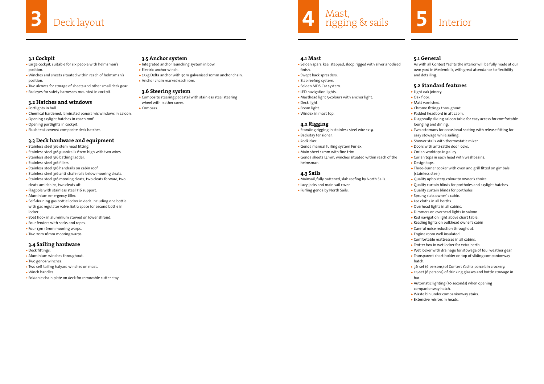

#### **5.1 General**

As with all Contest Yachts the interior will be fully made at our own yard in Medemblik, with great attendance to flexibility and detailing.

#### **5.2 Standard features**

- ► Light oak joinery.
- Oak floor.
- Matt varnished.
- Chrome fittings throughout.
- ► Padded headbord in aft cabin.
- Diagonally sliding saloon table for easy access for comfortable lounging and dining.
- Two ottomans for occasional seating with release fitting for easy stowage while sailing.
- $\blacktriangleright$  Shower stalls with thermostatic mixer.
- ► Doors with anti-rattle door locks.
- Corian worktops in galley.
- Corian tops in each head with washbasins.
- ► Design taps.
- **Three-burner cooker with oven and grill fitted on gimbals** (stainless steel).
- $\triangleright$  Ouality upholstery, colour to owner's choice.
- Quality curtain blinds for portholes and skylight hatches.
- Quality curtain blinds for portholes.
- Sprung slats owner´s cabin.
- Lee cloths in all berths.
- Overhead lights in all cabins.
- Dimmers on overhead lights in saloon.
- $\blacktriangleright$  Red navigation light above chart table.
- Reading lights on bulkhead owner's cabin
- Careful noise reduction throughout.
- Engine room well insulated.
- Comfortable mattresses in all cabins.
- Trotter box in wet locker for extra berth.
- ► Wet locker with drainage for stowage of foul weather gear.
- $\blacktriangleright$  Transparent chart holder on top of sliding companionway hatch.
- 36-set (6 persons) of Contest Yachts porcelain crockery.
- ► 24-set (6 persons) of drinking glasses and bottle stowage in bar.
- Automatic lighting (30 seconds) when opening companionway hatch.
- Waste bin under companionway stairs.
- $\blacktriangleright$  Extensive mirrors in heads.

#### **4.1 Mast**

- Selden spars, keel stepped, sloop rigged with silver anodised finish.
- Swept back spreaders.
- Slab reefing system.
- Selden MDS Car system.
- ► LED navigation lights.
- Masthead light 3-colours with anchor light.
- ► Deck light.
- Boom light.
- Windex in mast top.

#### **4.2 Rigging**

- $\blacktriangleright$  Integrated anchor launching system in bow.
- Electric anchor winch.
- ► 25kg Delta anchor with 50m galvanised 10mm anchor chain.
- Anchor chain marked each 10m.

- Composite steering pedestal with stainless steel steering wheel with leather cover.
- Compass.

- Standing rigging in stainless steel wire 1x19.
- Backstay tensioner.
- Rodkicker.
- Genoa manual furling system Furlex.
- Main sheet 12mm with fine trim.
- Genoa sheets 14mm, winches situated within reach of the helmsman.

#### **4.3 Sails**

- Mainsail, fully battened, slab reefing by North Sails.
- Lazy jacks and main sail cover.
- Furling genoa by North Sails.





#### **3.1 Cockpit**

- **Large cockpit, suitable for six people with helmsman's** position.
- Winches and sheets situated within reach of helmsman's position.
- Two alcoves for storage of sheets and other small deck gear.
- ► Pad eyes for safety harnesses mounted in cockpit.

#### **3.2 Hatches and windows**

- $\blacktriangleright$  Portlights in hull.
- Chemical hardened, laminated panoramic windows in saloon.
- ► Opening skylight hatches in coach roof.
- Opening portlights in cockpit.
- Flush teak covered composite deck hatches.

#### **3.3 Deck hardware and equipment**

- Stainless steel 316 stem head fitting.
- Stainless steel 316 guardrails 62cm high with two wires.
- **Stainless steel 316 bathing ladder.**
- Stainless steel 316 fillers.
- Stainless steel 316 handrails on cabin roof.
- Stainless steel 316 anti-chafe rails below mooring cleats.
- Stainless steel 316 mooring cleats; two cleats forward, two cleats amidships, two cleats aft.
- Flagpole with stainless steel 316 support.
- Aluminium emergency tiller.
- Self-draining gas bottle locker in deck. Including one bottle with gas regulator valve. Extra space for second bottle in locker.
- ► Boat hook in aluminium stowed on lower shroud.
- $\blacktriangleright$  Four fenders with socks and ropes.
- **Four 13m 16mm mooring warps.**
- Two 20m 16mm mooring warps.

#### **3.4 Sailing hardware**

- ► Deck fittings.
- Aluminium winches throughout.
- ► Two genoa winches.
- Two self-tailing halyard winches on mast.
- Winch handles.
- Foldable chain plate on deck for removable cutter stay.

#### **3.5 Anchor system**

#### **3.6 Steering system**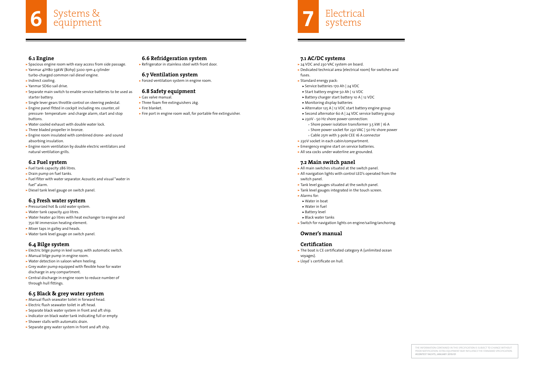#### **7.1 AC/DC systems**

- ► 24 VDC and 230 VAC system on board.
- Dedicated technical area (electrical room) for switches and fuses.
- $\blacktriangleright$  Standard energy pack:
- Service batteries 170 Ah | 24 VDC
- Start battery engine 50 Ah | 12 VDC
- ► Battery charger start battery 10 A | 12 VDC
- Monitoring display batteries
- Alternator 125 A | 12 VDC start battery engine group
- ► Second alternator 60 A | 24 VDC service battery group
- ► 230V 50 Hz shore power connection: ○ Shore power isolation transformer 3.5 kW | 16 A
- ▶ Shore power socket for 230 VAC | 50 Hz shore power ○ Cable 25m with 3-pole CEE 16 A connector
- ► 230V socket in each cabin/compartment.
- **Emergency engine start on service batteries.**
- All sea cocks under waterline are grounded.

- All main switches situated at the switch panel. All navigation lights with control LED's operated from the
- switch panel.
- ► Tank level gauges situated at the switch panel.
- $\blacktriangleright$  Tank level gauges integrated in the touch screen.
- Alarms for:
- Water in boat
- Water in fuel
- ► Battery level
- ► Black water tanks
- Switch for navigation lights on engine/sailing/anchoring.

#### **7.2 Main switch panel**

- $\triangleright$  Spacious engine room with easy access from side passage.
- Yanmar 4JH80 59kW (80hp) 3200 rpm 4 cylinder
- turbo-charged common rail diesel engine.  $\blacktriangleright$  Indirect cooling.
- Yanmar SD60 sail drive.
- Separate main switch to enable service batteries to be used as starter battery.
- Single lever gears throttle control on steering pedestal.
- Engine panel fitted in cockpit including rev. counter, oil pressure- temperature- and charge alarm, start and stop buttons.
- ► Water cooled exhaust with double water lock.
- **Three bladed propeller in bronze.**
- Engine room insulated with combined drone- and sound absorbing insulation.
- Engine room ventilation by double electric ventilators and natural ventilation grills.

#### **Owner's manual**

#### **Certification**

- The boat is CE certificated category A (unlimited ocean voyages).
- Lloyd´s certificate on hull.
- Pressurized hot & cold water system.
- Water tank capacity 420 litres.
- Water heater 40 litres with heat exchanger to engine and 750 W immersion heating element.
- $\blacktriangleright$  Mixer taps in galley and heads.
- Water tank level gauge on switch panel.



#### **6.1 Engine**

- $\blacktriangleright$  Electric bilge pump in keel sump, with automatic switch.
- Manual bilge pump in engine room.
- Water detection in saloon when heeling.
- Grey water pump equipped with flexible hose for water discharge in any compartment.
- Central discharge in engine room to reduce number of through hull fittings.

- Manual flush seawater toilet in forward head.
- Electric flush seawater toilet in aft head.
- Separate black water system in front and aft ship.
- Indicator on black water tank indicating full or empty.
- $\blacktriangleright$  Shower stalls with automatic drain.
- Separate grey water system in front and aft ship.

### Electrica systems **7**

#### **6.2 Fuel system**

- $\blacktriangleright$  Fuel tank capacity 286 litres.
- Drain pump on fuel tanks.
- Fuel filter with water separator. Acoustic and visual "water in fuel" alarm.
- Diesel tank level gauge on switch panel.

#### **6.3 Fresh water system**

#### **6.4 Bilge system**

#### **6.5 Black & grey water system**

#### **6.6 Refridgeration system**

Refrigerator in stainless steel with front door.

#### **6.7 Ventilation system**

Forced ventilation system in engine room.

#### **6.8 Safety equipment**

- Gas valve manual.
- ► Three foam fire extinguishers 2kg.
- $\blacktriangleright$  Fire blanket.
- Fire port in engine room wall, for portable fire extinguisher.

THE INFORMATION CONTAINED IN THIS SPECIFICATION IS SUBJECT TO CHANGE WITHOUT PRIOR NOTIFICATION. EXTRA EQUIPMENT MAY INFLUENCE THE STANDARD SPECIFICATION. **#CONTEST YACHTS, JANUARY 2019/01**